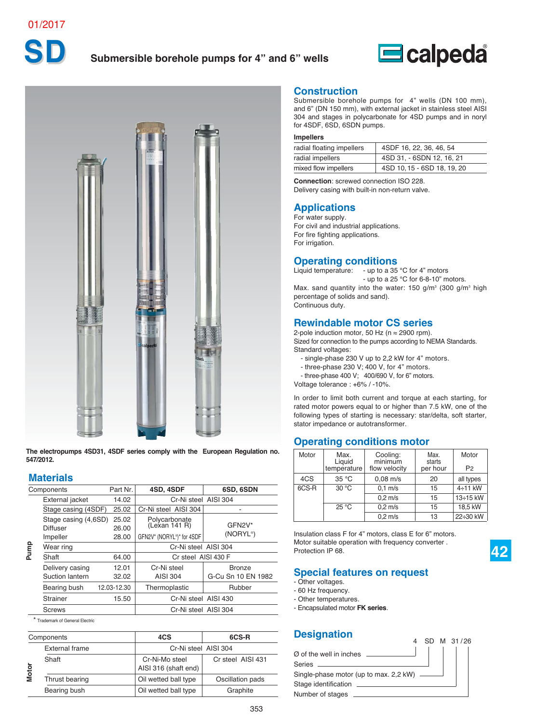# Submersible borehole pumps for 4" and 6" wells





**The electropumps 4SD31, 4SDF series comply with the European Regulation no. 547/2012.**

### **Materials**

|              | Components                         | Part Nr.       | 4SD, 4SDF                              | 6SD, 6SDN                           |
|--------------|------------------------------------|----------------|----------------------------------------|-------------------------------------|
|              | External jacket                    | 14.02          | Cr-Ni steel AISI 304                   |                                     |
|              | Stage casing (4SDF)                | 25.02          | Cr-Ni steel AISI 304                   |                                     |
|              | Stage casing (4,6SD)<br>Diffuser   | 25.02<br>26.00 | Polycarbonate<br>(Lexan 141 R)         | GFN2V*                              |
|              | Impeller                           | 28.00          | GFN2V* (NORYL®)* for 4SDF              | (NORYL®)                            |
| Pump         | Wear ring                          |                | Cr-Ni steel AISI 304                   |                                     |
|              | Shaft                              | 64.00          | Cr steel AISI 430 F                    |                                     |
|              | Delivery casing<br>Suction lantern | 12.01<br>32.02 | Cr-Ni steel<br><b>AISI 304</b>         | <b>Bronze</b><br>G-Cu Sn 10 EN 1982 |
|              | Bearing bush                       | 12.03-12.30    | Thermoplastic                          | Rubber                              |
|              | <b>Strainer</b>                    | 15.50          | Cr-Ni steel AISI 430                   |                                     |
|              | <b>Screws</b>                      |                | Cr-Ni steel AISI 304                   |                                     |
|              | * Trademark of General Electric    |                |                                        |                                     |
|              | Components                         |                | 4CS                                    | 6CS-R                               |
|              | <b>External frame</b>              |                | Cr-Ni steel AISI 304                   |                                     |
| <b>Motor</b> | Shaft                              |                | Cr-Ni-Mo steel<br>AISI 316 (shaft end) | Cr steel AISI 431                   |
|              | Thrust bearing                     |                | Oil wetted hall type                   | Oscillation pads                    |

<sup>\*</sup> Trademark of General Electric

|          | Components            | 4CS                                    | 6CS-R             |
|----------|-----------------------|----------------------------------------|-------------------|
|          | <b>External frame</b> | Cr-Ni steel AISI 304                   |                   |
| <b>a</b> | Shaft                 | Cr-Ni-Mo steel<br>AISI 316 (shaft end) | Cr steel AISI 431 |
|          | Thrust bearing        | Oil wetted ball type                   | Oscillation pads  |
|          | Bearing bush          | Oil wetted ball type                   | Graphite          |

#### **Construction**

Submersible borehole pumps for 4" wells (DN 100 mm), and 6" (DN 150 mm), with external jacket in stainless steel AISI 304 and stages in polycarbonate for 4SD pumps and in noryl for 4SDF, 6SD, 6SDN pumps.

#### **Impellers**

| radial floating impellers | 4SDF 16, 22, 36, 46, 54     |
|---------------------------|-----------------------------|
| radial impellers          | 4SD 31, - 6SDN 12, 16, 21   |
| mixed flow impellers      | 4SD 10, 15 - 6SD 18, 19, 20 |

**Connection**: screwed connection ISO 228. Delivery casing with built-in non-return valve.

#### **Applications**

For water supply. For civil and industrial applications. For fire fighting applications. For irrigation.

### **Operating conditions**

Liquid temperature: - up to a 35 °C for 4" motors - up to a 25 °C for 6-8-10" motors. Max. sand quantity into the water: 150 g/m<sup>3</sup> (300 g/m<sup>3</sup> high percentage of solids and sand). Continuous duty.

### **Rewindable motor CS series**

2-pole induction motor, 50 Hz ( $n \approx 2900$  rpm). Sized for connection to the pumps according to NEMA Standards. Standard voltages:

- single-phase 230 V up to 2,2 kW for 4" motors.
- three-phase 230 V; 400 V, for 4" motors.
- three-phase 400 V; 400/690 V, for 6" motors.

Voltage tolerance : +6% / -10%.

In order to limit both current and torque at each starting, for rated motor powers equal to or higher than 7.5 kW, one of the following types of starting is necessary: star/delta, soft starter, stator impedance or autotransformer.

#### **Operating conditions motor**

| Motor | Max.<br>Liguid<br>temperature | Cooling:<br>minimum<br>flow velocity | Max.<br>starts<br>per hour | Motor<br>P <sub>2</sub> |
|-------|-------------------------------|--------------------------------------|----------------------------|-------------------------|
| 4CS   | 35 °C                         | $0.08$ m/s                           | 20                         | all types               |
| 6CS-R | $30^{\circ}$ C                | $0.1$ m/s                            | 15                         | $4\div 11$ kW           |
|       |                               | $0.2$ m/s                            | 15                         | 13÷15 kW                |
|       | 25 °C                         | $0.2$ m/s                            | 15                         | 18.5 kW                 |
|       |                               | $0.2$ m/s                            | 13                         | 22÷30 kW                |

**42**

Insulation class F for 4" motors, class E for 6" motors. Motor suitable operation with frequency converter . Protection IP 68.

### **Special features on request**

- Other voltages.
- 60 Hz frequency.
- Other temperatures.
- Encapsulated motor **FK series**.

#### **Designation**

| $\varnothing$ of the well in inches<br><b>Contract Contract</b> |  |
|-----------------------------------------------------------------|--|
|                                                                 |  |
| Single-phase motor (up to max. 2,2 kW) ______                   |  |
| Stage identification                                            |  |
| Number of stages                                                |  |

4 SD M 31/26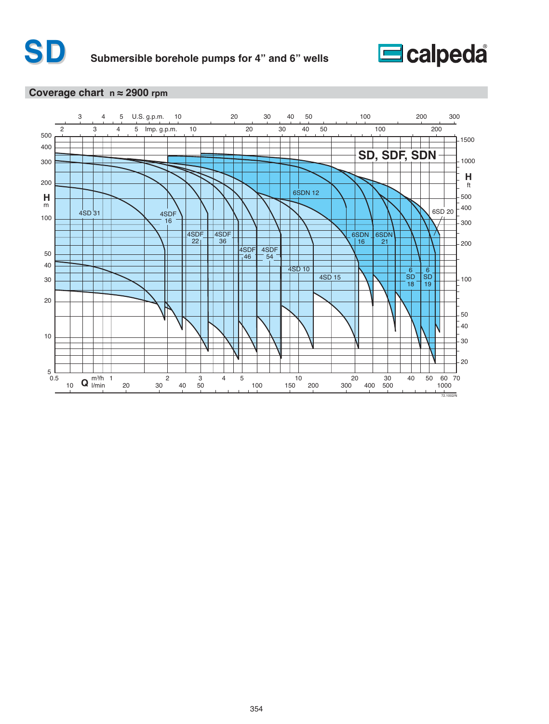

#### **Coverage chart n ≈ 2900 rpm**

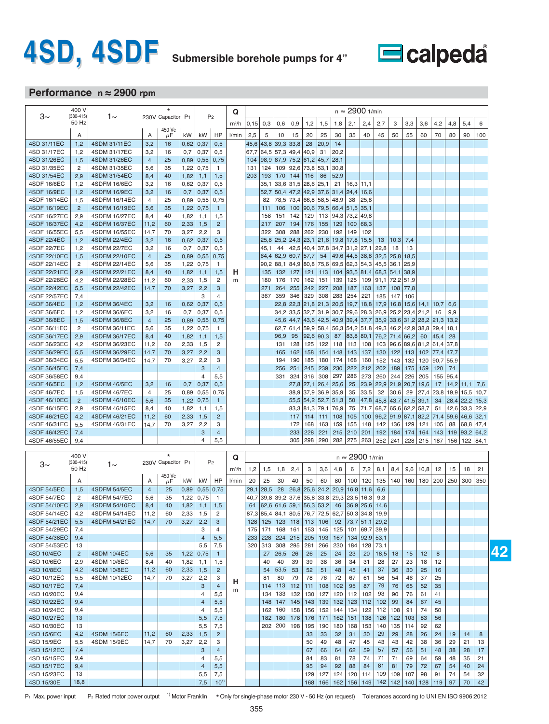# **4SD, 4SDF Submersible borehole pumps for 4"**



# **Performance n ≈ 2900 rpm**

|                              | 400 V                   |                                      |                |                   |              |                  |                                | Q       |           |                     |             |             |                                      |              |             | $n \approx 2900$ 1/min        |             |              |              |                                 |            |              |              |              |               |
|------------------------------|-------------------------|--------------------------------------|----------------|-------------------|--------------|------------------|--------------------------------|---------|-----------|---------------------|-------------|-------------|--------------------------------------|--------------|-------------|-------------------------------|-------------|--------------|--------------|---------------------------------|------------|--------------|--------------|--------------|---------------|
| 3∼                           | $(380 - 415)$<br>50 Hz  | 1∼                                   |                | 230V Capacitor P1 |              | P <sub>2</sub>   |                                | $m^3/h$ | 0,15      | 0,3                 | 0,6         | 0,9         | 1,2                                  | 1,5          | 1,8         | 2,1                           | 2,4         | 2,7          | 3            | 3,3                             | 3,6        | 4,2          | 4,8          | 5,4          | 6             |
|                              | A                       |                                      | Α              | 450 Vc<br>μF      | kW           | kW               | HP                             | l/min   | 2,5       | 5                   | 10          | 15          | 20                                   | 25           | 30          | 35                            | 40          | 45           | 50           | 55                              | 60         | 70           | 80           | 90           | 100           |
| 4SD 31/11EC                  | 1,2                     | 4SDM 31/11EC                         | 3,2            | 16                | 0,62         | 0,37             | 0,5                            |         | 45,6 43,8 |                     | 39,3        | 33,8        | 28                                   | 20,9         | 14          |                               |             |              |              |                                 |            |              |              |              |               |
| 4SD 31/17EC                  | 1,2                     | 4SDM 31/17EC                         | 3,2            | 16                | 0,7          | 0,37             | 0,5                            |         | 67,7      | 64,5                | 57,3        | 49,4        | 40,9                                 | 31           | 20,2        |                               |             |              |              |                                 |            |              |              |              |               |
| 4SD 31/26EC                  | 1,5                     | 4SDM 31/26EC                         | $\overline{4}$ | 25                | 0,89         | 0,55             | 0,75                           |         | 104       | 98,9                | 87,9        |             | 75,2 61,2                            | 45,7         | 28,1        |                               |             |              |              |                                 |            |              |              |              |               |
| 4SD 31/35EC                  | $\overline{c}$          | 4SDM 31/35EC                         | 5,6            | 35                | 1,22         | 0,75             | $\mathbf{1}$                   |         | 131       | 124                 | 109         | 92,6        | 73,8                                 | 53,1         | 30,8        |                               |             |              |              |                                 |            |              |              |              |               |
| 4SD 31/54EC<br>4SDF 16/6EC   | 2,9<br>1,2              | 4SDM 31/54EC<br>4SDFM 16/6EC         | 8,4            | 40                | 1,82         | 1,1<br>0,37      | 1,5<br>0,5                     |         | 203       | 193<br>35.1         | 170<br>33,6 | 144         | 116<br>28,6                          | 86<br>25,1   | 52,9<br>21  | 16,3                          | 11,1        |              |              |                                 |            |              |              |              |               |
| 4SDF 16/9EC                  | 1,2                     | <b>4SDFM 16/9EC</b>                  | 3,2<br>3,2     | 16<br>16          | 0,62<br>0,7  | 0,37             | 0,5                            |         |           | 52,7                | 50,4        | 31,5        | $47,2$ 42,9                          | 37,6         | 31,4        | 24,4                          | 16,6        |              |              |                                 |            |              |              |              |               |
| 4SDF 16/14EC                 | 1,5                     | 4SDFM 16/14EC                        | 4              | 25                | 0,89         | 0,55             | 0,75                           |         |           | 82                  | 78,5        | 73,4        | 66,8                                 | 58,5         | 48,9        | 38                            | 25,8        |              |              |                                 |            |              |              |              |               |
| 4SDF 16/19EC                 | $\overline{2}$          | 4SDFM 16/19EC                        | 5,6            | 35                | 1,22         | 0,75             | $\mathbf{1}$                   |         |           | 111                 | 106         | 100         | 90,6                                 | 79,5         | 66,4        | 51,5                          | 35,1        |              |              |                                 |            |              |              |              |               |
| 4SDF 16/27EC                 | 2,9                     | 4SDFM 16/27EC                        | 8,4            | 40                | 1,82         | 1,1              | 1,5                            |         |           | 158                 | 151         | 142         | 129                                  | 113          | 94,3        | 73,2                          | 49,8        |              |              |                                 |            |              |              |              |               |
| 4SDF 16/37EC                 | 4,2                     | <b>4SDFM 16/37EC</b>                 | 11,2           | 60                | 2,33         | 1,5              | 2                              |         |           | 217                 | 207         | 194         | 176                                  | 155          | 129         | 100                           | 68,3        |              |              |                                 |            |              |              |              |               |
| 4SDF 16/55EC<br>4SDF 22/4EC  | 5,5                     | 4SDFM 16/55EC<br><b>4SDFM 22/4EC</b> | 14,7<br>3,2    | 70<br>16          | 3,27         | 2,2<br>0,37      | 3<br>0,5                       |         |           | 322<br> 25,8        | 308<br>25,2 | 288<br>24,3 | 262<br> 23,1                         | 230<br> 21,6 | 192<br>19,8 | 149<br>17,8                   | 102<br>15,5 | 13           | 10,3         | 7,4                             |            |              |              |              |               |
| 4SDF 22/7EC                  | 1,2<br>1,2              | <b>4SDFM 22/7EC</b>                  | 3,2            | 16                | 0,62<br>0,7  | 0,37             | 0,5                            |         |           | 45,1                | 44          | 42,5        | 40,4                                 | 37,8         | 34,7        | 31,2                          | 27,1        | 22,8         | 18           | 13                              |            |              |              |              |               |
| 4SDF 22/10EC                 | 1,5                     | 4SDFM 22/10EC                        | $\overline{4}$ | 25                | 0,89         | 0,55             | 0,75                           |         |           | 64,4                | 62,9        | 60,7        | 57,7                                 | 54           | 49,6        | 44,5                          | 38,8        | 32,5         | 25,8         | 18,5                            |            |              |              |              |               |
| 4SDF 22/14EC                 | $\overline{c}$          | 4SDFM 22/14EC                        | 5,6            | 35                | 1,22         | 0,75             | 1                              |         |           | 90,2                | 88,1        | 84,9        | 80,8                                 | 75,6         | 69,5        | 62,3                          | 54,3        | 45,5         | 36,1         | 25,9                            |            |              |              |              |               |
| 4SDF 22/21EC                 | 2,9                     | 4SDFM 22/21EC                        | 8,4            | 40                | 1,82         | 1,1              | 1,5                            | н       |           | 135                 | 132         | 127         | 121                                  | 113          | 104         | 93,5                          | 81,4        | 68,3         | 54,1         | 38,9                            |            |              |              |              |               |
| 4SDF 22/28EC                 | 4,2                     | 4SDFM 22/28EC                        | 11,2           | 60                | 2,33         | 1,5              | 2                              | m       |           | 180                 | 176         | 170         | 162                                  | 151          | 139         | 125                           | 109         | 91,1         |              | 72,2 51,9                       |            |              |              |              |               |
| 4SDF 22/42EC<br>4SDF 22/57EC | 5,5                     | 4SDFM 22/42EC                        | 14,7           | 70                | 3,27         | 2,2              | 3<br>4                         |         |           | 271                 | 264         | 255         | 242                                  | 227          | 208         | 187                           | 163         | 137          | 108          | 77,8                            |            |              |              |              |               |
| 4SDF 36/4EC                  | 7,4<br>1,2              | <b>4SDFM 36/4EC</b>                  | 3,2            | 16                | 0,62         | 3<br>0,37        | 0,5                            |         |           | 367                 | 359<br>22,8 | 346         | 329<br>$22,3$ 21,8                   | 308<br> 21,3 | 283<br>20,5 | 254<br>19,7                   | 221<br>18,8 | 185<br>17,9  | 147          | 106<br>$16,8$   $15,6$   $14,1$ |            | 10,7         | 6,6          |              |               |
| 4SDF 36/6EC                  | 1,2                     | 4SDFM 36/6EC                         | 3,2            | 16                | 0,7          | 0,37             | 0,5                            |         |           |                     | 34,2        | 33,5        | 32,7                                 | 31,9         | 30,7        | 29,6                          | 28,3        | 26,9         | 25,2         | $23,4$ 21,2                     |            | 16           | 9,9          |              |               |
| 4SDF 36/8EC                  | 1,5                     | <b>4SDFM 36/8EC</b>                  | $\overline{4}$ | 25                | 0,89         | 0,55             | 0,75                           |         |           |                     | 45,6        | 44,7        | 43,6                                 | 42,5         | 40,9        | 39,4                          | 37,7        | 35,9         |              | $33,6$ 31,2 28,2                |            | 21,3         | 13,2         |              |               |
| 4SDF 36/11EC                 | $\overline{c}$          | 4SDFM 36/11EC                        | 5,6            | 35                | 1,22         | 0,75             | 1                              |         |           |                     | 62,7        | 61,4        | 59,9                                 | 58,4         | 56,3        | 54,2                          | 51,8        | 49,3         | 46,2         | 42,9                            | 38,8       | 29,4         | 18,1         |              |               |
| 4SDF 36/17EC                 | 2,9                     | 4SDFM 36/17EC                        | 8,4            | 40                | 1,82         | 1,1              | 1,5                            |         |           |                     | 96,9        | 95          | 92,6                                 | 90,3         | 87          | 83,8                          | 80,1        |              |              | 76,2 71,4 66,2                  | 60         | 45,4         | 28           |              |               |
| 4SDF 36/23EC                 | 4,2                     | 4SDFM 36/23EC                        | 11,2           | 60                | 2,33         | 1,5              | 2                              |         |           |                     | 131         | 128         | 125                                  | 122          | 118         | 113                           | 108         | 103          | 96,6         | 89,6 81,2                       |            | 61,4         | 37,8         |              |               |
| 4SDF 36/29EC<br>4SDF 36/34EC | 5,5<br>5,5              | 4SDFM 36/29EC<br>4SDFM 36/34EC       | 14,7<br>14,7   | 70<br>70          | 3,27<br>3,27 | 2,2<br>2,2       | 3<br>3                         |         |           |                     | 165<br>194  | 162<br>190  | 158<br>185                           | 154<br>180   | 148<br>174  | 143<br>168                    | 137<br>160  | 130<br>152   | 122<br>143   | 113<br>132                      | 102<br>120 | 77,4<br>90,7 | 47,7<br>55,9 |              |               |
| 4SDF 36/45EC                 | 7,4                     |                                      |                |                   |              | 3                | $\overline{4}$                 |         |           |                     | 256         | 251         | 245                                  | 239          | 230         | 222                           | 212         | 202          | 189          | 175                             | 159        | 120          | 74           |              |               |
| 4SDF 36/58EC                 | 9,4                     |                                      |                |                   |              | 4                | 5,5                            |         |           |                     | 331         | 324         | 316                                  | 308          | 297         | 286                           | 273         | 260          | 244          | 226                             | 205        | 155          | 95,4         |              |               |
| 4SDF 46/5EC                  | 1,2                     | 4SDFM 46/5EC                         | 3,2            | 16                | 0,7          | 0,37             | 0,5                            |         |           |                     |             | 27,8        | 27,1                                 | 26,4         | 25,6        | 25                            | 23,9        | 22,9         | 21,9         | 20,7                            | 19,6       | 17           | 14,2         | 11,1         | 7,6           |
| 4SDF 46/7EC                  | 1,5                     | 4SDFM 46/7EC                         | 4              | 25                | 0,89         | 0,55             | 0,75                           |         |           |                     |             | 38,9        | 37,9                                 | 36,9         | 35,9        | 35                            | 33,5        | 32           | 30,6         | 29                              | 27,4       | 23,8         | 19,9         | 15,5         | 10,7          |
| 4SDF 46/10EC                 | $\overline{2}$          | 4SDFM 46/10EC                        | 5,6            | 35                | 1,22         | 0,75             | $\mathbf{1}$                   |         |           |                     |             | 55,5        | 54,2                                 | 52,7         | 51,3        | 50                            | 47,8        | 45,8         | 43,7         | $41,5$ 39.1                     |            | 34           | 28,4         | 22,2         | 15,3          |
| 4SDF 46/15EC<br>4SDF 46/21EC | 2,9<br>4,2              | 4SDFM 46/15EC<br>4SDFM 46/21EC       | 8,4<br>11,2    | 40<br>60          | 1,82         | 1,1<br>1,5       | 1,5<br>$\overline{2}$          |         |           |                     |             | 83,3<br>117 | 81,3<br>114                          | 79,1<br>111  | 76,9<br>108 | 75<br>105                     | 71,7<br>100 | 68,7<br>96,2 | 65,6<br>91,9 | 62,2 58,7<br>87,1 82,2          |            | 51<br>71,4   | 42,6<br>59,6 | 33,3<br>46,6 | 22,9<br> 32,1 |
| 4SDF 46/31EC                 | 5,5                     | 4SDFM 46/31EC                        | 14,7           | 70                | 2,33<br>3,27 | 2,2              | 3                              |         |           |                     |             | 172         | 168                                  | 163          | 159         | 155                           | 148         | 142          | 136          | 129                             | 121        | 105          | 88           | 68,8         | 47, 4         |
| 4SDF 46/42EC                 | 7,4                     |                                      |                |                   |              | 3                | 4                              |         |           |                     |             | 233         | 228                                  | 221          | 215         | 210                           | 201         | 192          | 184          | 174                             | 164        | 143          | 119          | 93,2         | 64,2          |
| 4SDF 46/55EC                 | 9,4                     |                                      |                |                   |              | 4                | 5,5                            |         |           |                     |             | 305         | 298                                  | 290          | 282         | 275                           | 263         | 252          | 241          | 228                             | 215        | 187          | 156          | 122          | 84,1          |
|                              |                         |                                      |                | $\star$           |              |                  |                                |         |           |                     |             |             |                                      |              |             |                               |             |              |              |                                 |            |              |              |              |               |
| 3∼                           | 400 V<br>$(380 - 415)$  | 1∼                                   |                | 230V Capacitor P1 |              | P <sub>2</sub>   |                                | Q       |           |                     |             |             |                                      |              |             | $n \approx 2900$ 1/min        |             |              |              |                                 |            |              |              |              |               |
|                              | 50 Hz                   |                                      |                |                   |              |                  |                                | $m^3/h$ | 1,2       | 1,5                 | 1,8         | 2,4         | 3                                    | 3,6          | 4,8         | 6                             | 7,2         | 8,1          | 8,4          | 9,6                             | 10,8       | 12           | 15           | 18           | 21            |
|                              | Α                       |                                      | Α              | 450 Vc<br>$\mu$ F | kW           | kW               | HP                             | l/min   | 20        | 25                  | 30          | 40          | 50                                   | 60           | 80          | 100                           | 120         | 135          |              | 140   160                       | 180        | 200          | 250          | 300          | 350           |
| 4SDF 54/5EC                  | 1,5                     | 4SDFM 54/5EC                         | $\overline{4}$ | 25                |              | $0,89$ 0,55 0,75 |                                |         |           | $29,1$ 28,5         |             |             | 28 26,8 25,6 24,2 20,9 16,8 11,6     |              |             |                               |             | 6,6          |              |                                 |            |              |              |              |               |
| 4SDF 54/7EC                  | $\overline{\mathbf{c}}$ | 4SDFM 54/7EC                         | 5,6            | 35                | 1,22         | 0,75             | $\mathbf{1}$                   |         |           |                     |             |             | 40,7 39,8 39,2 37,6 35,8 33,8        |              | 29,3        | $23,5$ 16,3                   |             | 9,3          |              |                                 |            |              |              |              |               |
| 4SDF 54/10EC                 | 2,9                     | 4SDFM 54/10EC                        | 8,4            | 40                | 1,82         | 1,1              | 1,5                            |         | 64        |                     |             |             | 62,6   61,6   59,1   56,3   53,2     |              | 46          |                               | 36.9 25.6   | 14,6         |              |                                 |            |              |              |              |               |
| 4SDF 54/14EC<br>4SDF 54/21EC | 4,2<br>5,5              | 4SDFM 54/14EC<br>4SDFM 54/21EC       | 11,2<br>14,7   | 60<br>70          | 2,33<br>3,27 | 1,5<br>2,2       | 2<br>$\ensuremath{\mathsf{3}}$ |         | 87,3      | 85,4<br>$128$   125 | 123         | 118         | 84,1 80,5 76,7 72,5<br>$ 113\rangle$ | 106          | 62,7<br>92  | $50,3$ 34,8<br>73,7 51,1 29,2 |             | 19,9         |              |                                 |            |              |              |              |               |
| 4SDF 54/29EC                 | 7,4                     |                                      |                |                   |              | 3                | 4                              |         | 175       | 171                 | 168         | 161         | 153                                  | 145          | 125         |                               | 101   69.7  | 39,9         |              |                                 |            |              |              |              |               |
| 4SDF 54/38EC                 | 9,4                     |                                      |                |                   |              | $\overline{4}$   | 5,5                            |         |           | 233 228             | 224         |             | $215$ 205                            | 193          | 167         |                               | 134   92,9  | 53,1         |              |                                 |            |              |              |              |               |
| 4SDF 54/53EC                 | 13                      |                                      |                |                   |              | 5,5              | 7,5                            |         |           | 320 313             | 308         | 295         | 281                                  | 266          | 230         | 184                           | 128         | 73,1         |              |                                 |            |              |              |              |               |
| 4SD 10/4EC                   | $\overline{c}$          | 4SDM 10/4EC                          | 5,6            | 35                | 1,22         | 0,75             | $\mathbf{1}$                   |         |           | 27                  | 26,5        | 26          | 26                                   | 25           | 24          | 23                            | 20          | 18,5         | 18           | 15                              | 12         | 8            |              |              |               |
| 4SD 10/6EC                   | 2,9                     | 4SDM 10/6EC                          | 8,4            | 40                | 1,82         | 1,1              | 1,5                            |         |           | 40                  | 40          | 39          | 39                                   | 38           | 36          | 34                            | 31          | 28           | 27           | 23                              | 18         | 12           |              |              |               |
| 4SD 10/8EC<br>4SD 10/12EC    | 4,2                     | 4SDM 10/8EC                          | 11,2           | 60                | 2,33         | 1,5              | $\overline{2}$                 |         |           | 54                  | 53,5        | 53          | 52                                   | 51           | 48          | 45                            | 41          | 37           | 36           | 30                              | 25         | 16           |              |              |               |
| 4SD 10/17EC                  | 5,5<br>7,4              | 4SDM 10/12EC                         | 14,7           | 70                | 3,27         | 2,2<br>3         | 3<br>$\overline{4}$            | н       |           | 81<br>114           | 80<br>113   | 79<br>112   | 78<br>111                            | 76<br>108    | 72<br>102   | 67<br>95                      | 61<br>87    | 56<br>79     | 54<br>76     | 46<br>65                        | 37<br>52   | 25<br>35     |              |              |               |
| 4SD 10/20EC                  | 9,4                     |                                      |                |                   |              | 4                | 5,5                            | m       |           | 134                 | 133         | 132         | 130                                  | 127          | 120         | 112                           | 102         | 93           | 90           | 76                              | 61         | 41           |              |              |               |
| 4SD 10/22EC                  | 9,4                     |                                      |                |                   |              | $\overline{4}$   | 5,5                            |         |           | 148                 | 147         | 145         | 143                                  | 139          | 132         | 123                           | 112         | 102          | 99           | 84                              | 67         | 45           |              |              |               |
| 4SD 10/24EC                  | 9,4                     |                                      |                |                   |              | $\overline{4}$   | 5,5                            |         |           | 162                 | 160         | 158         | 156                                  | 152          | 144         | 134                           | 122         | 112          | 108          | 91                              | 74         | 50           |              |              |               |
| 4SD 10/27EC                  | 13                      |                                      |                |                   |              | 5,5              | 7,5                            |         |           | 182                 | 180         | 178         | 176                                  | 171          | 162         | 151                           | 138         | 126          | 122          | 103                             | 83         | 56           |              |              |               |
| 4SD 10/30EC                  | 13                      |                                      |                |                   |              | 5,5              | 7,5                            |         |           | 202                 | 200         | 198         | 195                                  | 190          | 180         | 168                           | 153         | 140          | 135          | 114                             | 92         | 62           |              |              |               |
| 4SD 15/6EC                   | 4,2<br>5,5              | 4SDM 15/6EC                          | 11,2<br>14,7   | 60<br>70          | 2,33<br>3,27 | 1,5              | $\overline{c}$                 |         |           |                     |             |             | 33                                   | 33           | 32          | 31                            | 30          | 29<br>43     | 29           | 28                              | 26         | 24           | 19           | 14           | 8             |
| 4SD 15/9EC<br>4SD 15/12EC    | 7,4                     | 4SDM 15/9EC                          |                |                   |              | 2,2<br>3         | 3<br>$\overline{4}$            |         |           |                     |             |             | 50<br>67                             | 49<br>66     | 48<br>64    | 47<br>62                      | 45<br>59    | 57           | 43<br>57     | 42<br>56                        | 38<br>51   | 36<br>48     | 29<br>38     | 21<br>28     | 13<br>17      |
| 4SD 15/15EC                  | 9,4                     |                                      |                |                   |              | 4                | 5,5                            |         |           |                     |             |             | 84                                   | 83           | 81          | 78                            | 74          | 71           | 71           | 69                              | 64         | 59           | 48           | 35           | 21            |
| 4SD 15/17EC                  | 9,4                     |                                      |                |                   |              | 4                | 5,5                            |         |           |                     |             |             | 95                                   | 94           | 92          | 88                            | 84          | 81           | 81           | 79                              | 72         | 67           | 54           | 40           | 24            |
| 4SD 15/23EC                  | 13                      |                                      |                |                   |              | 5,5              | 7,5                            |         |           |                     |             |             | 129                                  | 127          | 124         | 120                           | 114         | 109          | 109          | 107                             | 98         | 91           | 74           | 54           | 32            |
| 4SD 15/30E                   | 18,8                    |                                      |                |                   |              | 7,5              | $10^{11}$                      |         |           |                     |             |             | 168                                  | 166          | 162         | 156                           | 149         | $142$   142  |              | 140                             | 128        | 119          | 97           | 70           | 42            |

P<sub>1</sub> Max. power input P<sub>2</sub> Rated motor power output <sup>1)</sup> Motor Franklin \*Only for single-phase motor 230 V - 50 Hz (on request) Tolerances according to UNI EN ISO 9906:2012

**42**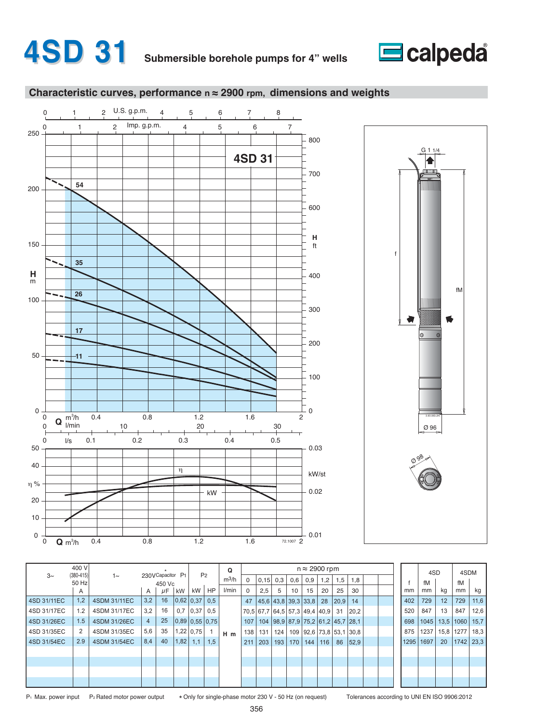







|             | 400 V                  |              |                |                            |               |               |                  | Q       |          |                                                     |     |     | $n \approx 2900$ rpm                  |     |      |      |  |      | 4SD  |      | 4SDM |                |
|-------------|------------------------|--------------|----------------|----------------------------|---------------|---------------|------------------|---------|----------|-----------------------------------------------------|-----|-----|---------------------------------------|-----|------|------|--|------|------|------|------|----------------|
| $3\sim$     | $(380 - 415)$<br>50 Hz | $1\sim$      |                | 230VCapacitor P1<br>450 Vc |               |               | P <sub>2</sub>   | $m^3/h$ | $\Omega$ | 0,15                                                | 0,3 | 0,6 | 0,9                                   | 1,2 | 1,5  | 1,8  |  |      | fM   |      | fM   |                |
|             | A                      |              | A              | $\mu$ F                    | kW            | kW            | HP               | I/min   | 0        | 2,5                                                 | 5   | 10  | 15                                    | 20  | 25   | 30   |  | mm   | mm   | kq   | mm   | kg             |
| 4SD 31/11EC | 1,2                    | 4SDM 31/11EC | 3,2            | 16                         | 0.62 0.37 0.5 |               |                  |         | 47       | 45,6 43,8 39,3 33,8 28                              |     |     |                                       |     | 20,9 | 14   |  | 402  | 729  | 12   | 729  | 11,6           |
| 4SD 31/17EC | 1.2                    | 4SDM 31/17EC | 3,2            | 16                         |               | $0,7$ $0,37$  | 0,5              |         |          | 70.5 67.7 64.5 57.3 49.4 40.9 31                    |     |     |                                       |     |      | 20,2 |  | 520  | 847  | 13   | 847  | 12,6           |
| 4SD 31/26EC | 1.5                    | 4SDM 31/26EC | $\overline{4}$ | 25                         |               |               | $0,89$ 0.55 0.75 |         |          | 107   104   98,9   87,9   75,2   61,2   45,7   28,1 |     |     |                                       |     |      |      |  | 698  | 1045 | 13,5 | 1060 | 15,7           |
| 4SD 31/35EC |                        | 4SDM 31/35EC | 5,6            | 35                         |               | $1,22$   0.75 |                  | $H$ m   | 138      | 131                                                 |     |     | 124   109   92,6   73,8   53,1   30,8 |     |      |      |  | 875  | 1237 | 15,8 | 1277 | 18,3           |
| 4SD 31/54EC | 2.9                    | 4SDM 31/54EC | 8,4            | 40                         | 1,82          | 1,1           | 1,5              |         | 211      | 203                                                 |     |     | 193   170   144   116                 |     | 86   | 52,9 |  | 1295 | 1697 | 20   | 1742 | $ 23,3\rangle$ |
|             |                        |              |                |                            |               |               |                  |         |          |                                                     |     |     |                                       |     |      |      |  |      |      |      |      |                |
|             |                        |              |                |                            |               |               |                  |         |          |                                                     |     |     |                                       |     |      |      |  |      |      |      |      |                |
|             |                        |              |                |                            |               |               |                  |         |          |                                                     |     |     |                                       |     |      |      |  |      |      |      |      |                |
|             |                        |              |                |                            |               |               |                  |         |          |                                                     |     |     |                                       |     |      |      |  |      |      |      |      |                |
|             |                        |              |                |                            |               |               |                  |         |          |                                                     |     |     |                                       |     |      |      |  |      |      |      |      |                |

P<sub>1</sub> Max. power input P<sub>2</sub> Rated motor power output

\* Only for single-phase motor 230 V - 50 Hz (on request) Tolerances according to UNI EN ISO 9906:2012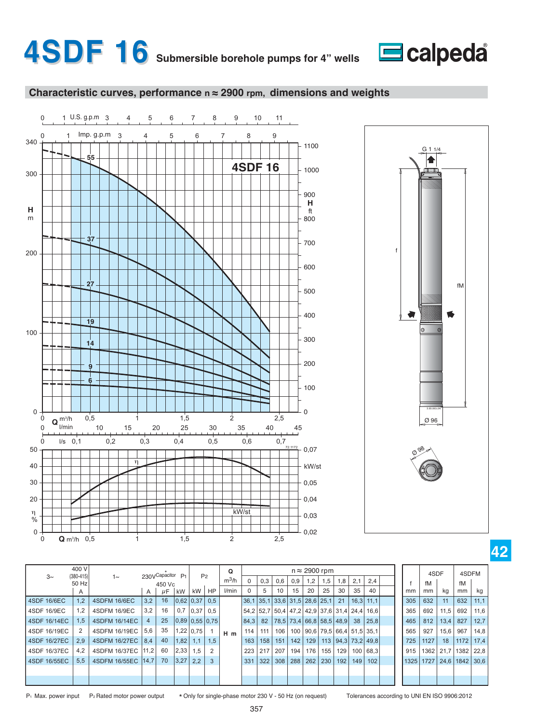







|              | 400 V                  |                      |      | 230VCapacitor P1 |                  |             | P <sub>2</sub> | $\Omega$         |          |     |     |             |     | $n \approx 2900$ rpm          |                  |      |                                                       |  |      | 4SDF |      | 4SDFM                 |      |
|--------------|------------------------|----------------------|------|------------------|------------------|-------------|----------------|------------------|----------|-----|-----|-------------|-----|-------------------------------|------------------|------|-------------------------------------------------------|--|------|------|------|-----------------------|------|
| $3\sim$      | $(380 - 415)$<br>50 Hz | $1\sim$              |      | 450 Vc           |                  |             |                | $m^3/h$          | $\Omega$ | 0,3 | 0,6 | 0,9         | 1,2 | 1,5                           | 1,8              | 2.1  | 2,4                                                   |  |      | fM   |      | fM                    |      |
|              | A                      |                      | A    | $\mu$ F          | kW               | kW          | <b>HP</b>      | l/min            | $\Omega$ | 5   | 10  | 15          | 20  | 25                            | 30               | 35   | 40                                                    |  | mm   | mm   | kg   | mm                    | kg   |
| 4SDF 16/6EC  | 1,2                    | <b>4SDFM 16/6EC</b>  | 3,2  | 16               | 0.62 0.37        |             | 0.5            |                  |          |     |     |             |     | 36,1 35,1 33,6 31,5 28,6 25,1 | 21               | 16.3 | 11.1                                                  |  | 305  | 632  | 11   | 632                   | 11,1 |
| 4SDF 16/9EC  | 1,2                    | 4SDFM 16/9EC         | 3,2  | 16               |                  | $0,7$ 0.37  | 0.5            |                  |          |     |     |             |     |                               |                  |      | 54, 2 52, 7 50, 4 47, 2 42, 9 37, 6 31, 4 24, 4 16, 6 |  | 365  | 692  | 11,5 | 692                   | 11,6 |
| 4SDF 16/14EC | 1,5                    | 4SDFM 16/14EC        | 4    | 25               | $0,89$ 0.55 0.75 |             |                |                  | 84,3     | 82  |     |             |     |                               |                  |      | 78,5   73,4   66,8   58,5   48,9   38   25,8          |  | 465  | 812  | 13,4 | 827                   | 12,7 |
| 4SDF 16/19EC |                        | 4SDFM 16/19EC        | 5.6  | 35               |                  | $1,22$ 0.75 |                | $H$ <sub>m</sub> | 114      | 111 | 106 |             |     |                               |                  |      | 100   90,6   79,5   66,4   51,5   35,1                |  | 565  | 927  | 15,6 | 967                   | 14,8 |
| 4SDF 16/27EC | 2,9                    | 4SDFM 16/27EC        | 8,4  | 40               | 1,82             | 1,1         | 1,5            |                  | 163      | 158 |     | $151$   142 |     |                               |                  |      | 129   113   94,3   73,2   49,8                        |  | 725  | 1127 | 18   | 1172                  | 17,4 |
| 4SDF 16/37EC | 4.2                    | 4SDFM 16/37EC        | 11.2 | 60               | 2,33             | 1.5         | 2              |                  | 223      | 217 | 207 | 194         | 176 | 155                           | 129 <sup>1</sup> |      | 100 68.3                                              |  | 915  | 1362 |      | 21,7 1382 22,8        |      |
| 4SDF 16/55EC | 5.5                    | 4SDFM 16/55EC   14,7 |      | 70               | 3,27             | 2,2         | 3              |                  | 331      | 322 |     | 308   288   |     | 262 230                       | 192 <sub>1</sub> | 149  | 102                                                   |  | 1325 | 1727 |      | $124.6$   1842   30.6 |      |
|              |                        |                      |      |                  |                  |             |                |                  |          |     |     |             |     |                               |                  |      |                                                       |  |      |      |      |                       |      |
|              |                        |                      |      |                  |                  |             |                |                  |          |     |     |             |     |                               |                  |      |                                                       |  |      |      |      |                       |      |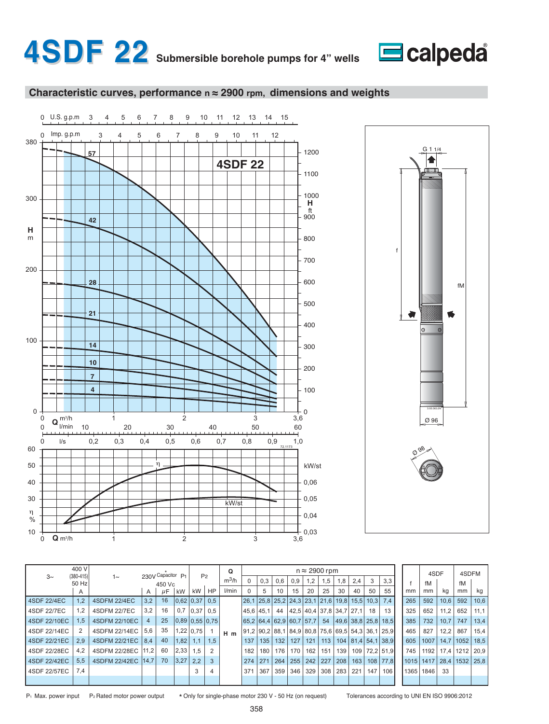







|              | 400 V                  |                      |     | 230V Capacitor P1 |              | P <sub>2</sub> |           | Q                |          |                  |     |                                                                                                                           |           | $n \approx 2900$ rpm |               |     |             |                          |           | 4SDF      |      | 4SDFM       |      |
|--------------|------------------------|----------------------|-----|-------------------|--------------|----------------|-----------|------------------|----------|------------------|-----|---------------------------------------------------------------------------------------------------------------------------|-----------|----------------------|---------------|-----|-------------|--------------------------|-----------|-----------|------|-------------|------|
| $3\sim$      | $(380 - 415)$<br>50 Hz | $1\sim$              |     | 450 Vc            |              |                |           | $m^3/h$          |          | 0.3              | 0.6 | 0.9                                                                                                                       | 1.2       | 1,5                  | 1,8           | 2,4 | 3           | 3,3                      |           | fM        |      | fM          |      |
|              | A                      |                      | A   | μF                | kW           | kW I           | <b>HP</b> | l/min            | $\Omega$ | 5                | 10  | 15                                                                                                                        | 20        | 25                   | 30            | 40  | 50          | 55                       | mm        | mm        | kg   | mm          | kg   |
| 4SDF 22/4EC  | 1,2                    | <b>4SDFM 22/4EC</b>  | 3,2 | 16                |              | 0,62 0,37 0,5  |           |                  |          |                  |     | $\left  26,1 \right  25,8 \left  25,2 \right  24,3 \left  23,1 \right  21,6 \left  19,8 \right  15,5 \left  10,3 \right $ |           |                      |               |     |             | 7.4                      | 265       | 592       | 10,6 | 592         | 10,6 |
| 4SDF 22/7EC  | 1,2                    | <b>4SDFM 22/7EC</b>  | 3,2 | 16                | 0,7          | 0.37 0.5       |           |                  |          | 45.6  45.1       | 44  | 42,5 40,4 37,8 34,7 27,1                                                                                                  |           |                      |               |     | 18          | 13                       | 325       | 652       | 11.2 | 652         | 11.1 |
| 4SDF 22/10EC | 1,5                    | 4SDFM 22/10EC        | 4   | 25                |              | 0,89 0,55 0,75 |           |                  |          |                  |     | 65.264.462.960.757.7                                                                                                      |           | 54                   |               |     |             | 49.6 38.8   25.8   18.5  | 385       | 732       | 10.7 | 747         | 13,4 |
| 4SDF 22/14EC | 2                      | 4SDFM 22/14EC        | 5,6 | 35                |              | $1,22$ 0.75    |           | $H$ <sub>m</sub> |          |                  |     | 91,2  90,2   88,1   84,9   80,8   75,6   69,5   54,3   36,1   25,9                                                        |           |                      |               |     |             |                          | 465       | 827       | 12,2 | 867         | 15,4 |
| 4SDF 22/21EC | 2,9                    | 4SDFM 22/21EC        | 8,4 | 40                | $ 1,82 $ 1.1 |                | 1,5       |                  | 137      | 135 <sub>1</sub> | 132 | 127   121                                                                                                                 |           | 113                  |               |     |             | 104   81,4   54,1   38,9 | 605       | 1007      |      | 14,7   1052 | 18,5 |
| 4SDF 22/28EC | 4.2                    | 4SDFM 22/28EC 11.2   |     | 60                | 2,33         | 1.5            |           |                  | 182      | 180              | 176 |                                                                                                                           | 170   162 | 151                  | 139           |     |             | 109 72.2 51.9            | 745       | 1192      |      | 17.4   1212 | 20.9 |
| 4SDF 22/42EC | 5.5                    | 4SDFM 22/42EC   14,7 |     | 70                | 3,27         | 2,2            | 3         |                  | 274      | 271              | 264 |                                                                                                                           | 255   242 | 227                  | $ 208\rangle$ |     | $163$   108 | 77,8                     | 1015 1417 |           |      | 28.4   1532 | 25.8 |
| 4SDF 22/57EC | 7.4                    |                      |     |                   |              |                |           |                  | 371      | 367              | 359 |                                                                                                                           | 346 329   |                      | 308 283       | 221 | 147         | 106                      |           | 1365 1846 | 33   |             |      |
|              |                        |                      |     |                   |              |                |           |                  |          |                  |     |                                                                                                                           |           |                      |               |     |             |                          |           |           |      |             |      |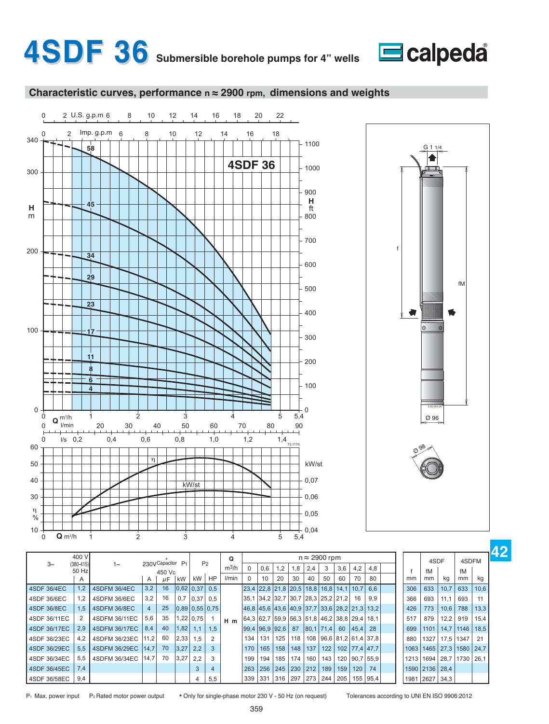









|                    | 400 V                  |                     |      | 230VCapacitor P1 |            |             | P <sub>2</sub>   | Q                |                  |     |     |                     |     | $n \approx 2900$ rpm                                         |     |           |               |      |                | 4SDF | 4SDFM |      |
|--------------------|------------------------|---------------------|------|------------------|------------|-------------|------------------|------------------|------------------|-----|-----|---------------------|-----|--------------------------------------------------------------|-----|-----------|---------------|------|----------------|------|-------|------|
| $3\sim$            | $(380 - 415)$<br>50 Hz | $1\sim$             |      | 450 Vc           |            |             |                  | $m^3/h$          |                  | 0,6 | 1,2 | 1,8                 | 2,4 | 3                                                            | 3,6 | 4,2       | 4,8           |      | fM             |      | fM    |      |
|                    | $\overline{A}$         |                     | A    | μF               | kW         | kW          | HP               | l/min            |                  | 10  | 20  | 30                  | 40  | 50                                                           | 60  | 70        | 80            | mm   | mm             | kg   | mm    | kg   |
| 4SDF 36/4EC        | 1,2                    | <b>4SDFM 36/4EC</b> | 3,2  | 16               |            | $0,62$ 0.37 | 0.5              |                  |                  |     |     | 23,4 22,8 21,8 20,5 |     | 18,8 16,8 14,1                                               |     | 10.7      | 6,6           | 306  | 633            | 10,7 | 633   | 10,6 |
| 14SDF 36/6EC       | 1.2                    | 4SDFM 36/6EC        | 3,2  | 16               | 0,7        | 0,37        | 0.5              |                  |                  |     |     |                     |     | 35,1 34,2 32,7 30,7 28,3 25,2 21,2                           |     | 16        | 9,9           | 366  | 693            | 11,1 | 693   | 11   |
| <b>4SDF 36/8EC</b> | 1.5                    | 4SDFM 36/8EC        | 4    | 25               |            |             | $0,89$ 0.55 0.75 |                  |                  |     |     |                     |     | 46,8   45,6   43,6   40,9   37,7   33,6   28,2   21,3   13,2 |     |           |               | 426  | 773            | 10,6 | 788   | 13,3 |
| 14SDF 36/11EC      | 2                      | 4SDFM 36/11EC       | 5,6  | 35               |            | $1,22$ 0.75 |                  | $H$ <sub>m</sub> |                  |     |     |                     |     | 64,3  62,7  59,9  56,3  51,8  46,2   38,8   29,4   18,1      |     |           |               | 517  | 879            | 12,2 | 919   | 15,4 |
| 4SDF 36/17EC       | 2,9                    | 4SDFM 36/17EC       | 8,4  | 40               | $1,82$ $ $ | 1,1         | 1.5              |                  | $99,4$ 96,9 92,6 |     |     | 87                  |     | 80,1 71,4                                                    | 60  | 45.4      | 28            | 699  | 1101           | 14,7 | 1146  | 18,5 |
| 14SDF 36/23EC      | 4,2                    | 4SDFM 36/23EC       | 11,2 | 60               | 2,33       | 1.5         | 2                |                  | 134              | 131 | 125 | 118                 |     | 108 96,6 81,2 61,4 37,8                                      |     |           |               | 880  | 1327           | 17,5 | 1347  | 21   |
| I 4SDF 36/29EC     | 5,5                    | 4SDFM 36/29EC       | 14,7 | 70               | 3,27       | 2,2         | 3                |                  | 170              | 165 | 158 | 148                 | 137 | 122                                                          |     |           | 102 77,4 47,7 | 1063 | 1465           | 27,3 | 1580  | 24,7 |
| l 4SDF 36/34EC     | 5,5                    | 4SDFM 36/34EC       | 14.7 | 70               | 3,27       | 2,2         | 3                |                  | 199              | 194 | 185 | 174                 | 160 | $143 \mid$                                                   | 120 | 90,7 55,9 |               | 1213 | 1694           | 28,7 | 1730  | 26,1 |
| I 4SDF 36/45EC     | 7,4                    |                     |      |                  |            | 3           | 4                |                  | 263              | 256 | 245 | 230                 | 212 | 189                                                          | 159 | 120       | 74            |      | 1590 2136      | 28,4 |       |      |
| 4SDF 36/58EC       | 9,4                    |                     |      |                  |            | 4           | 5,5              |                  | 339              | 331 |     | $316$ 297           |     | 273 244 205                                                  |     |           | $155$   95,4  |      | 1981 2627 34,3 |      |       |      |

P<sub>1</sub> Max. power input P<sub>2</sub> Rated motor power output

\* Only for single-phase motor 230 V - 50 Hz (on request) Tolerances according to UNI EN ISO 9906:2012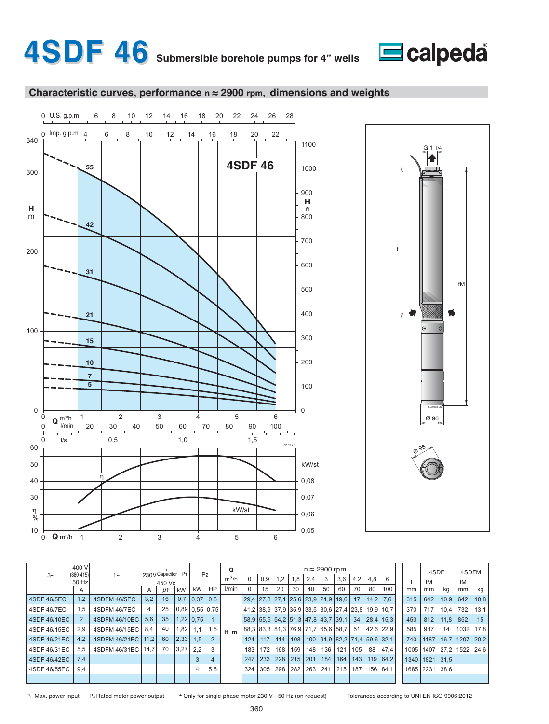







|              | 400 V                  |               |      | 230V Capacitor P1 |      |                |           | Q                |           |             |     |             |     | $n \approx 2900$ rpm                                                                                   |     |     |      |              |           | 4SDF |      | 4SDFM       |                                  |
|--------------|------------------------|---------------|------|-------------------|------|----------------|-----------|------------------|-----------|-------------|-----|-------------|-----|--------------------------------------------------------------------------------------------------------|-----|-----|------|--------------|-----------|------|------|-------------|----------------------------------|
| $3\sim$      | $(380 - 415)$<br>50 Hz | $1\sim$       |      | 450 Vc            |      | P <sub>2</sub> |           | $m^3/h$          | $\Omega$  | 0,9         | 1.2 | 1,8         | 2.4 | 3                                                                                                      | 3,6 | 4,2 | 4,8  | 6            |           | fM   |      | fM          |                                  |
|              | A                      |               | A    | $\mu$ F           | kW   | kW l           | <b>HP</b> | l/min            | $\Omega$  | 15          | 20  | 30          | 40  | 50                                                                                                     | 60  | 70  | 80   | 100          | mm        | mm   | kq   | mm          | kg                               |
| 4SDF 46/5EC  | 1,2                    | 4SDFM 46/5EC  | 3,2  | 16                | 0,7  | 0.37 0.5       |           |                  |           |             |     |             |     | $\left  29.4 \right $ 27.8 $\left  27.1 \right $ 25.6 $\left  23.9 \right $ 21.9 $\left  19.6 \right $ |     | 17  | 14.2 | 7.6          | 315       | 642  | 10.9 | 642         | 10,8                             |
| 4SDF 46/7EC  | 1.5                    | 4SDFM 46/7EC  |      | 25                |      | 0,89 0,55 0,75 |           |                  |           |             |     |             |     | 41,2  38,9  37,9  35,9  33,5  30,6  27,4  23,8  19,9  10,7                                             |     |     |      |              | 370       | 717  | 10.4 | 732         | 13,1                             |
| 4SDF 46/10EC | $\overline{2}$         | 4SDFM 46/10EC | 5,6  | 35                |      | $1,22$ 0.75    |           |                  |           |             |     |             |     | 58,9   55,5   54,2   51,3   47,8   43,7   39,1                                                         |     | 34  |      | 28,4 15,3    | 450       | 812  | 11.8 | 852         | 15                               |
| 4SDF 46/15EC | 2,9                    | 4SDFM 46/15EC | 8.4  | 40                | 1,82 | 1,1            | 1,5       | $H$ <sub>m</sub> |           |             |     |             |     | 88,3   83,3   81,3   76,9   71,7   65,6   58,7                                                         |     | 51  |      | 42.6 22.9    | 585       | 987  | 14   | 1032        | 17,8                             |
| 4SDF 46/21EC | 4,2                    | 4SDFM 46/21EC | 11.2 | 60                | 2,33 | 1,5            |           |                  | 124       | $117$   114 |     |             |     | $108$   100   91,9   82,2   71,4   59,6   32,1                                                         |     |     |      |              | 740       | 1187 |      | 16.7   1207 | 20,2                             |
| 4SDF 46/31EC | 5.5                    | 4SDFM 46/31EC | 14.7 | 70                | 3,27 | 2,2            | 3         |                  | 183       | 172         | 168 | 159         | 148 | 136                                                                                                    | 121 | 105 | 88   | 47.4         |           |      |      |             | 1005   1407   27.2   1522   24.6 |
| 4SDF 46/42EC | 7,4                    |               |      |                   |      |                | 4         |                  | 247       | 233         |     | 228 215 201 |     | 184                                                                                                    | 164 |     |      | 143 119 64,2 | 1340 1821 |      | 31.5 |             |                                  |
| 4SDF 46/55EC | 9,4                    |               |      |                   |      |                | 5,5       |                  | $324$ 305 |             |     |             |     | 298   282   263   241   215   187                                                                      |     |     |      | 156 84.1     | 1685 2231 |      | 38.6 |             |                                  |
|              |                        |               |      |                   |      |                |           |                  |           |             |     |             |     |                                                                                                        |     |     |      |              |           |      |      |             |                                  |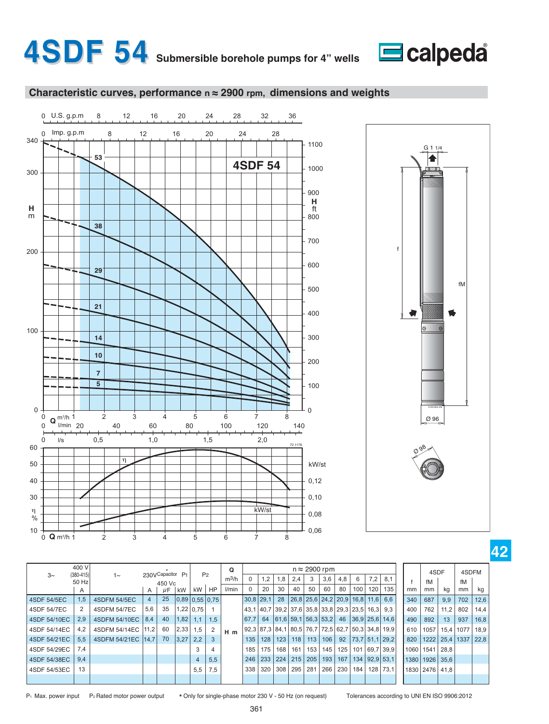







|              | 400 V                  |                      |     | 230VCapacitor P1 |                |             | P <sub>2</sub> | $\Omega$         |             |            |     |       |    | $n \approx 2900$ rpm                            |                  |     |                  |                                                   |      | 4SDF               |                | 4SDFM     |      |
|--------------|------------------------|----------------------|-----|------------------|----------------|-------------|----------------|------------------|-------------|------------|-----|-------|----|-------------------------------------------------|------------------|-----|------------------|---------------------------------------------------|------|--------------------|----------------|-----------|------|
| $3\sim$      | $(380 - 415)$<br>50 Hz | $1\sim$              |     | 450 Vc           |                |             |                | $m^3/h$          | $\Omega$    | $\cdot$ .2 | 1,8 | 2,4   | 3  | 3,6                                             | 4,8              | 6   | 7,2              | 8.1                                               |      | fM                 |                | fM        |      |
|              | A                      |                      | A   | $\mu$ F          | kW             | kW          | <b>HP</b>      | l/min            | $\Omega$    | 20         | 30  | 40    | 50 | 60                                              | 80               | 100 | 120 <sub>1</sub> | 135                                               | mm   | mm                 | kg             | mm        | kg   |
| 4SDF 54/5EC  | 1,5                    | <b>4SDFM 54/5EC</b>  | 4   | 25               | 0,89 0,55 0,75 |             |                |                  | $30.8$ 29.1 |            | 28  |       |    | $26,8$   25,6   24,2   20,9   16,8   11,6   6,6 |                  |     |                  |                                                   | 340  | 687                | 9,9            | 702       | 12,6 |
| 4SDF 54/7EC  | 2                      | <b>4SDFM 54/7EC</b>  | 5,6 | 35               |                | $1,22$ 0.75 |                |                  |             |            |     |       |    | 43,1 40,7 39,2 37,6 35,8 33,8 29,3 23,5         |                  |     | $16.3$ 9.3       |                                                   | 400  | 762                | 11,2           | 802       | 14,4 |
| 4SDF 54/10EC | 2,9                    | 4SDFM 54/10EC   8.4  |     | 40               | $1,82$   1.1   |             | 1,5            |                  | 67.7        | 64         |     |       |    | 61,6 59,1 56,3 53,2                             |                  |     |                  | 46 36,9 25,6 14,6                                 | 490  | 892                | 13             | 937       | 16,8 |
| 4SDF 54/14EC | 4.2                    | 4SDFM 54/14EC   11,2 |     | 60               | 2,33           | 1,5         | 2              | $H$ <sub>m</sub> |             |            |     |       |    |                                                 |                  |     |                  | 92,3 87,3 84,1 80,5 76,7 72,5 62,7 50,3 34,8 19,9 | 610  | 1057               |                | 15,4 1077 | 18.9 |
| 4SDF 54/21EC | 5.5                    | 4SDFM 54/21EC   14,7 |     | 70               | 3,27           | 2.2         | 3              |                  | 135         | 128        | 123 | 118   |    | 113   106                                       |                  |     |                  | 92   73,7   51,1   29,2                           | 820  |                    | 1222 25.4 1337 |           | 22,8 |
| 4SDF 54/29EC | 7,4                    |                      |     |                  |                |             | 4              |                  | 185         | 175        | 168 | 161 l |    | 153   145                                       | 125 <sub>1</sub> |     |                  | 101 69.7 39.9                                     | 1060 | 1541 28,8          |                |           |      |
| 4SDF 54/38EC | 9,4                    |                      |     |                  |                | 4           | 5,5            |                  | 246         | 233        | 224 | 215   |    | 205   193                                       | 167              |     |                  | 134 92,9 53,1                                     |      | 1380   1926   35,6 |                |           |      |
| 4SDF 54/53EC | 13                     |                      |     |                  |                | 5,5         | 7,5            |                  | 338         | 320        | 308 |       |    | 295   281   266                                 | 230              | 184 |                  | 128 73.1                                          |      | 1830   2476   41.8 |                |           |      |
|              |                        |                      |     |                  |                |             |                |                  |             |            |     |       |    |                                                 |                  |     |                  |                                                   |      |                    |                |           |      |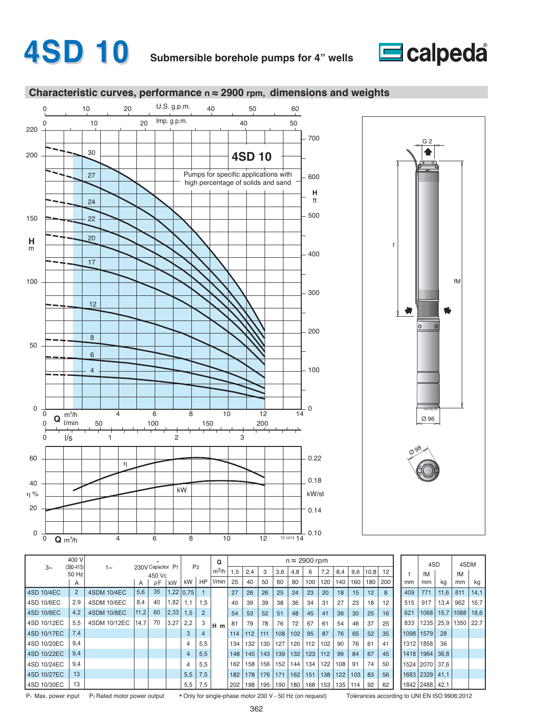# **4SD 10 Submersible borehole pumps for 4" wells**



#### **Characteristic curves, performance n ≈ 2900 rpm, dimensions and weights**





|             | 400 V                  |                    |      |                             |      |             | P <sub>2</sub> | $\Omega$ |     |     |     |     | $n \approx 2900$ rpm |     |       |     |     |      |     |      | 4SD            |      | 4SDM |      |
|-------------|------------------------|--------------------|------|-----------------------------|------|-------------|----------------|----------|-----|-----|-----|-----|----------------------|-----|-------|-----|-----|------|-----|------|----------------|------|------|------|
| $3\sim$     | $(380 - 415)$<br>50 Hz | 1∼                 |      | 230V Capacitor P1<br>450 Vc |      |             |                | $m^3/h$  | 1,5 | 2.4 | 3   | 3,6 | 4,8                  | 6   | 7,2   | 8,4 | 9,6 | 10,8 | 12  |      | fM             |      | fM   |      |
|             | A                      |                    | A    | $\mu$ F                     | kW   | kW          | HP             | l/min    | 25  | 40  | 50  | 60  | 80                   | 100 | 120   | 140 | 160 | 180  | 200 | mm   | mm             | kg   | mm   | kg   |
| 4SD 10/4EC  | $\overline{2}$         | <b>4SDM 10/4EC</b> | 5,6  | 35                          |      | $1,22$ 0.75 |                |          | 27  | 26  | 26  | 25  | 24                   | 23  | 20    | 18  | 15  | 12   | 8   | 409  | 771            | 11,6 | 811  | 14,1 |
| 4SD 10/6EC  | 2.9                    | 4SDM 10/6EC        | 8.4  | 40                          | .82  | 1,1         | 1,5            |          | 40  | 39  | 39  | 38  | 36                   | 34  | 31    | 27  | 23  | 18   | 12  | 515  | 917            | 13,4 | 962  | 16,7 |
| 4SD 10/8EC  | 4,2                    | <b>4SDM 10/8EC</b> | 11,2 | 60                          | 2,33 | 1,5         | 2              |          | 54  | 53  | 52  | 51  | 48                   | 45  | 41    | 36  | 30  | 25   | 16  | 621  | 1068           | 15.7 | 1088 | 18,6 |
| 4SD 10/12EC | 5,5                    | 4SDM 10/12EC       | 14,7 | 70                          | 3,27 | 2,2         | 3              | lн<br>m  | 81  | 79  | 78  | 76  | 72                   | 67  | 61    | 54  | 46  | 37   | 25  | 833  | 1235           | 25,9 | 1350 | 22.7 |
| 4SD 10/17EC | 7.4                    |                    |      |                             |      | 3           | 4              |          | 114 | 112 | 111 | 108 | 102                  | 95  | 87    | 76  | 65  | 52   | 35  | 1098 | 1579           | 28   |      |      |
| 4SD 10/20EC | 9,4                    |                    |      |                             |      | 4           | 5.5            |          | 134 | 132 | 130 | 127 | 120                  | 112 | 102   | 90  | 76  | 61   | 41  | 1312 | 1858           | 36   |      |      |
| 4SD 10/22EC | 9,4                    |                    |      |                             |      | 4           | 5,5            |          | 148 | 145 | 143 | 139 | 132                  | 123 | $112$ | 99  | 84  | 67   | 45  | 1418 | 1964           | 36,8 |      |      |
| 4SD 10/24EC | 9,4                    |                    |      |                             |      | 4           | 5,5            |          | 162 | 158 | 156 | 152 | 144                  | 134 | 122   | 108 | 91  | 74   | 50  |      | 1524 2070      | 37.6 |      |      |
| 4SD 10/27EC | 13                     |                    |      |                             |      | 5,5         | 7,5            |          | 182 | 178 | 176 | 171 | 162                  | 151 | 138   | 122 | 103 | 83   | 56  |      | 1683 2329      | 41,1 |      |      |
| 4SD 10/30EC | 13                     |                    |      |                             |      | 5,5         | 7,5            |          | 202 | 198 | 195 | 190 | 180                  | 168 | 153   | 135 | 114 | 92   | 62  |      | 1842 2488 42,1 |      |      |      |

P<sub>1</sub> Max. power input P<sub>2</sub> Rated motor power output

\* Only for single-phase motor 230 V - 50 Hz (on request) Tolerances according to UNI EN ISO 9906:2012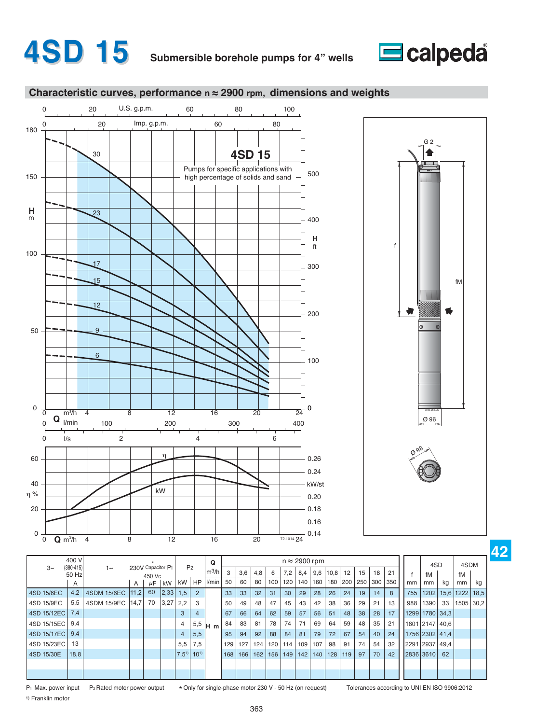







|             | 400 V                  |             |      |                             |      |                |           | Q                       |     |     |                  |     |     |     | $n \approx 2900$ rpm |      |     |     |     |     |           |                |      |            |      |
|-------------|------------------------|-------------|------|-----------------------------|------|----------------|-----------|-------------------------|-----|-----|------------------|-----|-----|-----|----------------------|------|-----|-----|-----|-----|-----------|----------------|------|------------|------|
| $3\sim$     | $(380 - 415)$<br>50 Hz | $1\sim$     |      | 230V Capacitor P1<br>450 Vc |      | P <sub>2</sub> |           | $\lfloor m^3/h \rfloor$ | 3   | 3,6 | 4,8              | 6   | 7,2 | 8,4 | 9,6                  | 10,8 | 12  | 15  | 18  | 21  |           | 4SD<br>fM      |      | 4SDM<br>fM |      |
|             | A                      |             | A    | $\mu$ F                     | kW   | kW             | <b>HP</b> | l/min                   | 50  | 60  | 80               | 100 | 120 | 140 | 160                  | 180  | 200 | 250 | 300 | 350 | mm        | mm             | kg   | mm         | kg   |
| 4SD 15/6EC  | 4,2                    | 4SDM 15/6EC | 11,2 | 60                          | 2,33 | 1,5            |           |                         | 33  | 33  | 32               | 31  | 30  | 29  | 28                   | 26   | 24  | 19  | 14  | 8   | 755       | 1202           |      | 15,6 1222  | 18,5 |
| 4SD 15/9EC  | 5,5                    | 4SDM 15/9EC | 14,7 | 70                          | 3,27 | 2,2            | 3         |                         | 50  | 49  | 48               | 47  | 45  | 43  | 42                   | 38   | 36  | 29  | 21  | 13  | 988       | 1390           | 33   | 1505       | 30,2 |
| 4SD 15/12EC | 7.4                    |             |      |                             |      | 3              | 4         |                         | 67  | 66  | 64               | 62  | 59  | 57  | 56                   | 51   | 48  | 38  | 28  | 17  |           | 1299 1780 34.3 |      |            |      |
| 4SD 15/15EC | 9.4                    |             |      |                             |      | 4              | 5,5       | H <sub>m</sub>          | 84  | 83  | 81               | 78  | 74  | 71  | 69                   | 64   | 59  | 48  | 35  | 21  | 1601 2147 |                | 40.6 |            |      |
| 4SD 15/17EC | 9,4                    |             |      |                             |      | $\overline{4}$ | 5,5       |                         | 95  | 94  | 92               | 88  | 84  | 81  | 79                   | 72   | 67  | 54  | 40  | 24  |           | 1756 2302 41.4 |      |            |      |
| 4SD 15/23EC | 13                     |             |      |                             |      | 5,5            | 7,5       |                         | 129 | 127 | 124 <sub>1</sub> | 120 | 114 | 109 | 107                  | 98   | 91  | 74  | 54  | 32  | 2291 2937 |                | 49.4 |            |      |
| 4SD 15/30E  | 18,8                   |             |      |                             |      | $ 7,5^{1}$     | $10^{1}$  |                         | 168 | 166 | 162              | 156 | 149 | 142 | 140                  | 128  | 119 | 97  | 70  | 42  | 2836 3610 |                | 62   |            |      |
|             |                        |             |      |                             |      |                |           |                         |     |     |                  |     |     |     |                      |      |     |     |     |     |           |                |      |            |      |
|             |                        |             |      |                             |      |                |           |                         |     |     |                  |     |     |     |                      |      |     |     |     |     |           |                |      |            |      |

P<sub>1</sub> Max. power input P<sub>2</sub> Rated motor power output

\* Only for single-phase motor 230 V - 50 Hz (on request) Tolerances according to UNI EN ISO 9906:2012

**42**

1) Franklin motor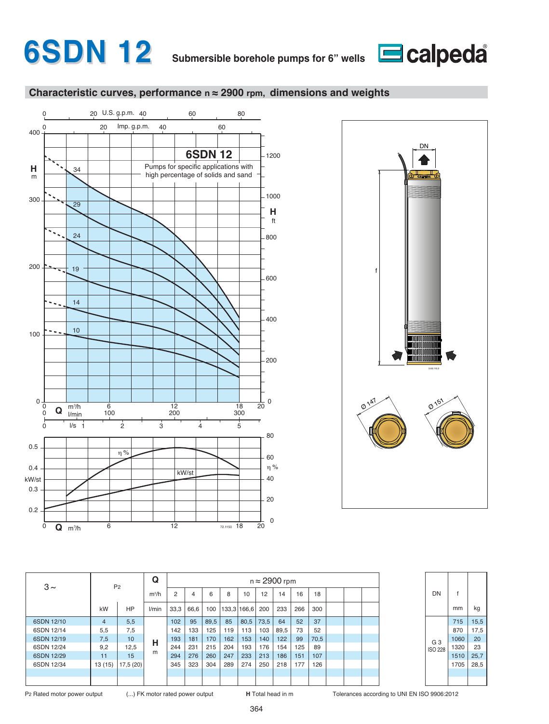





| $3\sim$    |                | P <sub>2</sub> | Q       |      |      |      |             |      |      | $n \approx 2900$ rpm |     |      |  |  |
|------------|----------------|----------------|---------|------|------|------|-------------|------|------|----------------------|-----|------|--|--|
|            |                |                | $m^3/h$ | 2    | 4    | 6    | 8           | 10   | 12   | 14                   | 16  | 18   |  |  |
|            | kW             | <b>HP</b>      | l/min   | 33,3 | 66,6 | 100  | 133,3 166,6 |      | 200  | 233                  | 266 | 300  |  |  |
| 6SDN 12/10 | $\overline{4}$ | 5,5            |         | 102  | 95   | 89,5 | 85          | 80,5 | 73,5 | 64                   | 52  | 37   |  |  |
| 6SDN 12/14 | 5,5            | 7,5            |         | 142  | 133  | 125  | 119         | 113  | 103  | 89,5                 | 73  | 52   |  |  |
| 6SDN 12/19 | 7,5            | 10             | н       | 193  | 181  | 170  | 162         | 153  | 140  | 122                  | 99  | 70,5 |  |  |
| 6SDN 12/24 | 9,2            | 12,5           |         | 244  | 231  | 215  | 204         | 193  | 176  | 154                  | 125 | 89   |  |  |
| 6SDN 12/29 | 11             | 15             | m       | 294  | 276  | 260  | 247         | 233  | 213  | 186                  | 151 | 107  |  |  |
| 6SDN 12/34 | 13(15)         | 17,5 (20)      |         | 345  | 323  | 304  | 289         | 274  | 250  | 218                  | 177 | 126  |  |  |
|            |                |                |         |      |      |      |             |      |      |                      |     |      |  |  |
|            |                |                |         |      |      |      |             |      |      |                      |     |      |  |  |

| DN             | f    |      |
|----------------|------|------|
|                | mm   | kg   |
|                | 715  | 15,5 |
|                | 870  | 17,5 |
| G <sub>3</sub> | 1060 | 20   |
| <b>ISO 228</b> | 1320 | 23   |
|                | 1510 | 25,7 |
|                | 1705 | 28,5 |
|                |      |      |
|                |      |      |

P2 Rated motor power output (...) FK motor rated power output **H** Total head in m Tolerances according to UNI EN ISO 9906:2012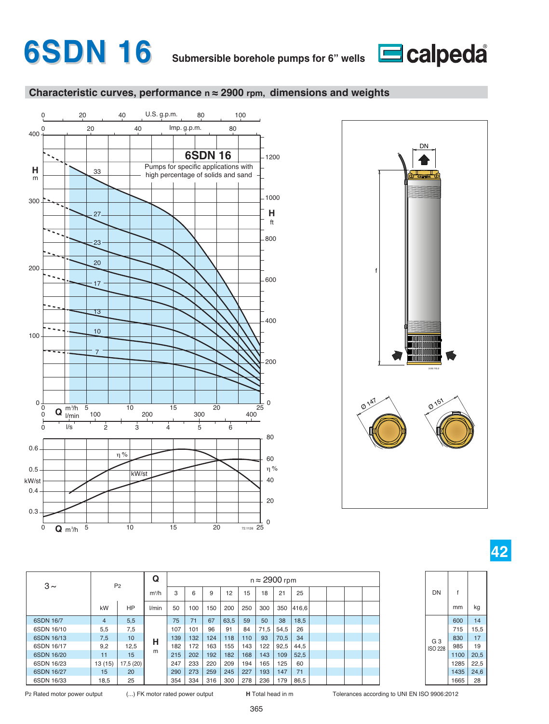





| $3\sim$    |                | P <sub>2</sub> | Q       |     |     |     |      |     | $n \approx 2900$ rpm |      |       |  |  |
|------------|----------------|----------------|---------|-----|-----|-----|------|-----|----------------------|------|-------|--|--|
|            |                |                | $m^3/h$ | 3   | 6   | 9   | 12   | 15  | 18                   | 21   | 25    |  |  |
|            | kW             | <b>HP</b>      | l/min   | 50  | 100 | 150 | 200  | 250 | 300                  | 350  | 416,6 |  |  |
| 6SDN 16/7  | $\overline{4}$ | 5,5            |         | 75  | 71  | 67  | 63,5 | 59  | 50                   | 38   | 18,5  |  |  |
| 6SDN 16/10 | 5,5            | 7,5            |         | 107 | 101 | 96  | 91   | 84  | 71,5                 | 54,5 | 26    |  |  |
| 6SDN 16/13 | 7,5            | 10             | н       | 139 | 132 | 124 | 118  | 110 | 93                   | 70,5 | 34    |  |  |
| 6SDN 16/17 | 9,2            | 12,5           |         | 182 | 172 | 163 | 155  | 143 | 122                  | 92,5 | 44,5  |  |  |
| 6SDN 16/20 | 11             | 15             | m       | 215 | 202 | 192 | 182  | 168 | 143                  | 109  | 52,5  |  |  |
| 6SDN 16/23 | 13(15)         | 17,5 (20)      |         | 247 | 233 | 220 | 209  | 194 | 165                  | 125  | 60    |  |  |
| 6SDN 16/27 | 15             | 20             |         | 290 | 273 | 259 | 245  | 227 | 193                  | 147  | 71    |  |  |
| 6SDN 16/33 | 18,5           | 25             |         | 354 | 334 | 316 | 300  | 278 | 236                  | 179  | 86,5  |  |  |

365

P2 Rated motor power output (...) FK motor rated power output **H** Total head in m Tolerances according to UNI EN ISO 9906:2012

G 3 ISO 228

 $DN$  f

 $mm$  kg

14 15,5 17 19 20,5 22,5 24,6 28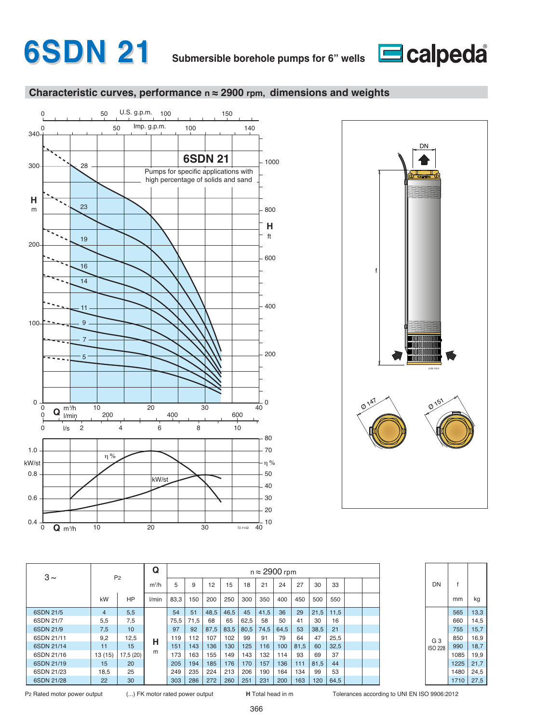







| $3\sim$    |                | P <sub>2</sub> | Q       |      |      |      |      |      | $n \approx 2900$ rpm |      |      |      |      |  |
|------------|----------------|----------------|---------|------|------|------|------|------|----------------------|------|------|------|------|--|
|            |                |                | $m^3/h$ | 5    | 9    | 12   | 15   | 18   | 21                   | 24   | 27   | 30   | 33   |  |
|            | kW             | <b>HP</b>      | l/min   | 83,3 | 150  | 200  | 250  | 300  | 350                  | 400  | 450  | 500  | 550  |  |
| 6SDN 21/5  | $\overline{4}$ | 5,5            |         | 54   | 51   | 48,5 | 46,5 | 45   | 41,5                 | 36   | 29   | 21,5 | 11,5 |  |
| 6SDN 21/7  | 5,5            | 7,5            |         | 75.5 | 71,5 | 68   | 65   | 62,5 | 58                   | 50   | 41   | 30   | 16   |  |
| 6SDN 21/9  | 7,5            | 10             |         | 97   | 92   | 87.5 | 83,5 | 80.5 | 74.5                 | 64.5 | 53   | 38.5 | 21   |  |
| 6SDN 21/11 | 9,2            | 12,5           | н       | 119  | 112  | 107  | 102  | 99   | 91                   | 79   | 64   | 47   | 25,5 |  |
| 6SDN 21/14 | 11             | 15             |         | 151  | 143  | 136  | 130  | 125  | 116                  | 100  | 81,5 | 60   | 32,5 |  |
| 6SDN 21/16 | 13(15)         | 17.5(20)       | m       | 173  | 163  | 155  | 149  | 143  | 132                  | 114  | 93   | 69   | 37   |  |
| 6SDN 21/19 | 15             | 20             |         | 205  | 194  | 185  | 176  | 170  | 157                  | 136  | 111  | 81.5 | 44   |  |
| 6SDN 21/23 | 18.5           | 25             |         | 249  | 235  | 224  | 213  | 206  | 190                  | 164  | 134  | 99   | 53   |  |
| 6SDN 21/28 | 22             | 30             |         | 303  | 286  | 272  | 260  | 251  | 231                  | 200  | 163  | 120  | 64,5 |  |

| DN             | f    |      |
|----------------|------|------|
|                | mm   | kg   |
|                | 565  | 13,3 |
|                | 660  | 14,5 |
|                | 755  | 15,7 |
| G <sub>3</sub> | 850  | 16,9 |
| <b>ISO 228</b> | 990  | 18,7 |
|                | 1085 | 19,9 |
|                | 1225 | 21,7 |
|                | 1480 | 24,5 |
|                | 1710 | 27.5 |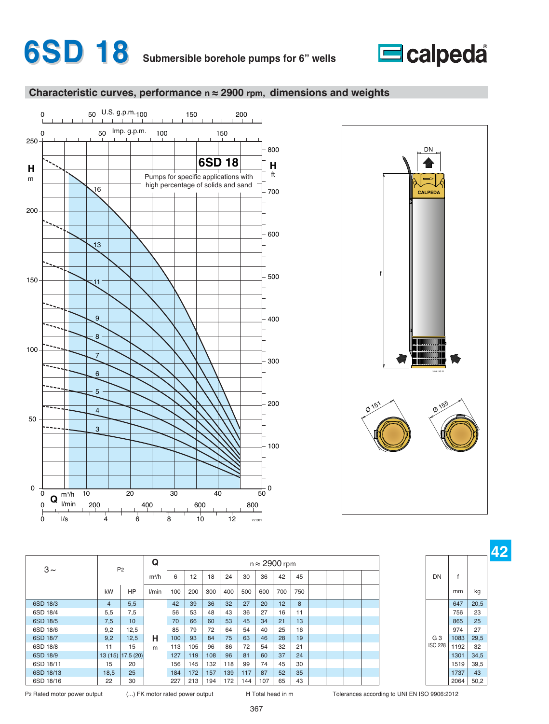







**42**

| $3\sim$   |                | P <sub>2</sub>      | Q       |     |     |     |     |     | $n \approx 2900$ rpm |     |     |  |  |                |      |      |
|-----------|----------------|---------------------|---------|-----|-----|-----|-----|-----|----------------------|-----|-----|--|--|----------------|------|------|
|           |                |                     | $m^3/h$ | 6   | 12  | 18  | 24  | 30  | 36                   | 42  | 45  |  |  | <b>DN</b>      |      |      |
|           | kW             | HP                  | l/min   | 100 | 200 | 300 | 400 | 500 | 600                  | 700 | 750 |  |  |                | mm   | kg   |
| 6SD 18/3  | $\overline{4}$ | 5,5                 |         | 42  | 39  | 36  | 32  | 27  | 20                   | 12  | 8   |  |  |                | 647  | 20,5 |
| 6SD 18/4  | 5,5            | 7.5                 |         | 56  | 53  | 48  | 43  | 36  | 27                   | 16  | 11  |  |  |                | 756  | 23   |
| 6SD 18/5  | 7,5            | 10                  |         | 70  | 66  | 60  | 53  | 45  | 34                   | 21  | 13  |  |  |                | 865  | 25   |
| 6SD 18/6  | 9,2            | 12,5                |         | 85  | 79  | 72  | 64  | 54  | 40                   | 25  | 16  |  |  |                | 974  | 27   |
| 6SD 18/7  | 9,2            | 12,5                | н       | 100 | 93  | 84  | 75  | 63  | 46                   | 28  | 19  |  |  | G <sub>3</sub> | 1083 | 29,5 |
| 6SD 18/8  | 11             | 15                  | m       | 113 | 105 | 96  | 86  | 72  | 54                   | 32  | 21  |  |  | <b>ISO 228</b> | 1192 | 32   |
| 6SD 18/9  |                | 13 (15) [17,5 (20)] |         | 127 | 119 | 108 | 96  | 81  | 60                   | 37  | 24  |  |  |                | 1301 | 34,5 |
| 6SD 18/11 | 15             | 20                  |         | 156 | 145 | 132 | 118 | 99  | 74                   | 45  | 30  |  |  |                | 1519 | 39,5 |
| 6SD 18/13 | 18,5           | 25                  |         | 184 | 172 | 157 | 139 | 117 | 87                   | 52  | 35  |  |  |                | 1737 | 43   |
| 6SD 18/16 | 22             | 30                  |         | 227 | 213 | 194 | 172 | 144 | 107                  | 65  | 43  |  |  |                | 2064 | 50,2 |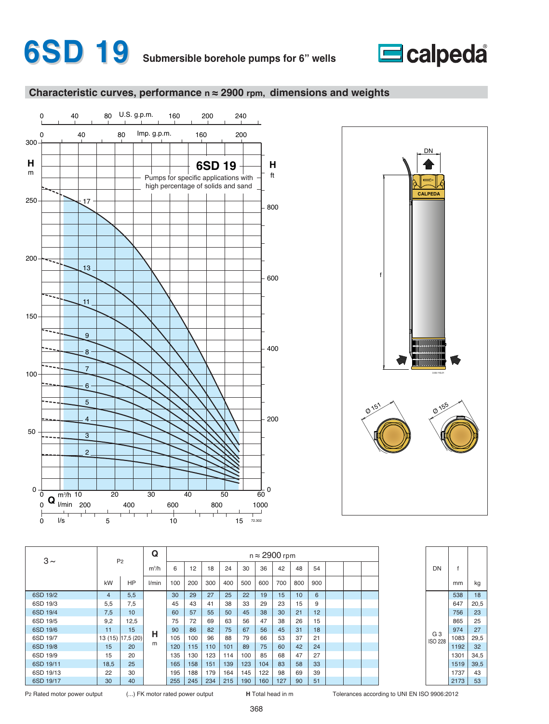







| $3\sim$   |                | P <sub>2</sub>    | Q       |     |     |     |     |     | $n \approx 2900$ rpm |     |                 |     |  |  |
|-----------|----------------|-------------------|---------|-----|-----|-----|-----|-----|----------------------|-----|-----------------|-----|--|--|
|           |                |                   | $m^3/h$ | 6   | 12  | 18  | 24  | 30  | 36                   | 42  | 48              | 54  |  |  |
|           | kW             | <b>HP</b>         | l/min   | 100 | 200 | 300 | 400 | 500 | 600                  | 700 | 800             | 900 |  |  |
| 6SD 19/2  | $\overline{4}$ | 5,5               |         | 30  | 29  | 27  | 25  | 22  | 19                   | 15  | 10 <sup>1</sup> | 6   |  |  |
| 6SD 19/3  | 5,5            | 7,5               |         | 45  | 43  | 41  | 38  | 33  | 29                   | 23  | 15              | 9   |  |  |
| 6SD 19/4  | 7,5            | 10 <sup>1</sup>   |         | 60  | 57  | 55  | 50  | 45  | 38                   | 30  | 21              | 12  |  |  |
| 6SD 19/5  | 9,2            | 12,5              |         | 75  | 72  | 69  | 63  | 56  | 47                   | 38  | 26              | 15  |  |  |
| 6SD 19/6  | 11             | 15                | н       | 90  | 86  | 82  | 75  | 67  | 56                   | 45  | 31              | 18  |  |  |
| 6SD 19/7  |                | 13 (15) 17,5 (20) |         | 105 | 100 | 96  | 88  | 79  | 66                   | 53  | 37              | 21  |  |  |
| 6SD 19/8  | 15             | 20                | m       | 120 | 115 | 110 | 101 | 89  | 75                   | 60  | 42              | 24  |  |  |
| 6SD 19/9  | 15             | 20                |         | 135 | 130 | 123 | 114 | 100 | 85                   | 68  | 47              | 27  |  |  |
| 6SD 19/11 | 18,5           | 25                |         | 165 | 158 | 151 | 139 | 123 | 104                  | 83  | 58              | 33  |  |  |
| 6SD 19/13 | 22             | 30                |         | 195 | 188 | 179 | 164 | 145 | 122                  | 98  | 69              | 39  |  |  |
| 6SD 19/17 | 30             | 40                |         | 255 | 245 | 234 | 215 | 190 | 160                  | 127 | 90              | 51  |  |  |

P2 Rated motor power output (...) FK motor rated power output **H** Total head in m Tolerances according to UNI EN ISO 9906:2012